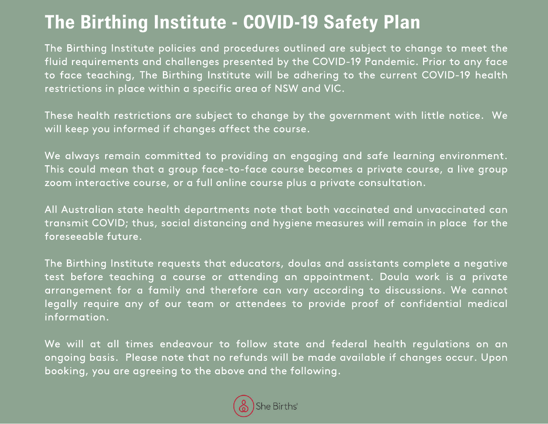## **The Birthing Institute - COVID-19 Safety Plan**

The Birthing Institute policies and procedures outlined are subject to change to meet the fluid requirements and challenges presented by the COVID-19 Pandemic. Prior to any face to face teaching, The Birthing Institute will be adhering to the current COVID-19 health restrictions in place within a specific area of NSW and VIC.

These health restrictions are subject to change by the government with little notice. We will keep you informed if changes affect the course.

We always remain committed to providing an engaging and safe learning environment. This could mean that a group face-to-face course becomes a private course, a live group zoom interactive course, or a full online course plus a private consultation.

All Australian state health departments note that both vaccinated and unvaccinated can transmit COVID; thus, social distancing and hygiene measures will remain in place for the foreseeable future.

The Birthing Institute requests that educators, doulas and assistants complete a negative test before teaching a course or attending an appointment. Doula work is a private arrangement for a family and therefore can vary according to discussions. We cannot legally require any of our team or attendees to provide proof of confidential medical information.

We will at all times endeavour to follow state and federal health regulations on an ongoing basis. Please note that no refunds will be made available if changes occur. Upon booking, you are agreeing to the above and the following.

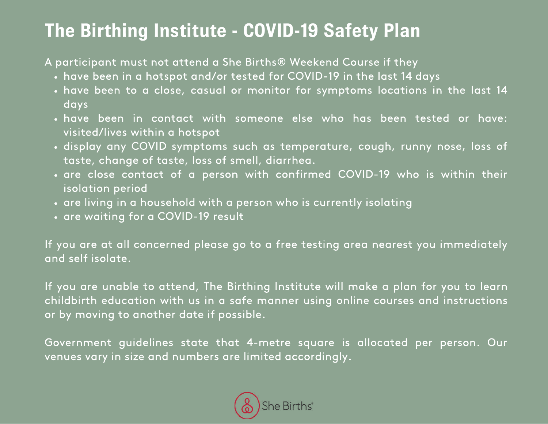## **The Birthing Institute - COVID-19 Safety Plan**

A participant must not attend a She Births® Weekend Course if they

- have been in a hotspot and/or tested for COVID-19 in the last 14 days
- have been to a [close, casual or monitor for symptoms locations](https://www.health.nsw.gov.au/Infectious/covid-19/Pages/case-locations-and-alerts.aspx) in the last 14 days
- have been in contact with someone else who has been tested or have: visited/lives within a hotspot
- display any [COVID symptoms](https://www.health.nsw.gov.au/Infectious/covid-19/Pages/frequently-asked-questions.aspx#1-4) such as temperature, cough, runny nose, loss of taste, change of taste, loss of smell, diarrhea.
- are close contact of a person with confirmed COVID-19 who is within their isolation period
- are living in a household with a person who is currently isolating
- are waiting for a COVID-19 result

If you are at all concerned please go to a free testing area nearest you immediately and self isolate.

If you are unable to attend, The Birthing Institute will make a plan for you to learn childbirth education with us in a safe manner using online courses and instructions or by moving to another date if possible.

Government guidelines state that 4-metre square is allocated per person. Our venues vary in size and numbers are limited accordingly.